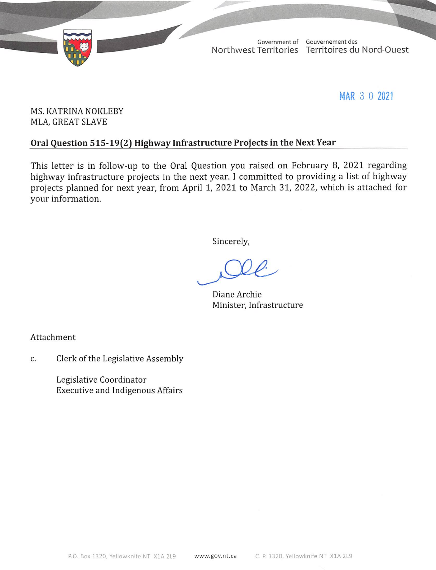

MAR 3 0 2021

## MS. KATRINA NOKLEBY MLA, GREAT SLAVE

## Oral Question 515-19(2) Highway Infrastructure Projects in the Next Year

This letter is in follow-up to the Oral Question you raised on February 8, 2021 regarding highway infrastructure projects in the next year. I committed to providing a list of highway projects planned for next year, from April 1, 2021 to March 31, 2022, which is attached for your information.

Sincerely,

Diane Archie Minister, Infrastructure

Attachment

Clerk of the Legislative Assembly C.

> Legislative Coordinator **Executive and Indigenous Affairs**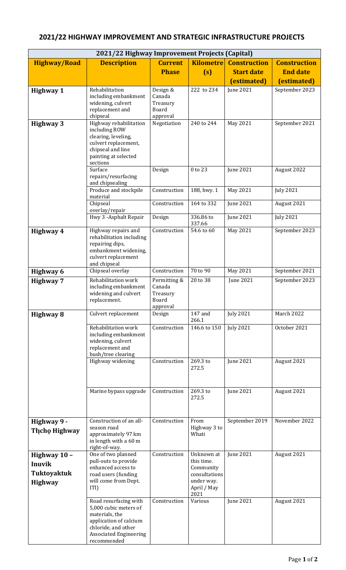## **2021/22 Highway Improvement Projects (Capital) Highway/Road Description** Current **Phase Kilometre (s) Construction Start date (estimated) Construction End date (estimated) Highway 1** Rehabilitation including embankment widening, culvert replacement and chipseal Design & Canada Treasury Board approval<br>Negotiation 222 to 234 June 2021 September 2023 **Highway 3** | Highway rehabilitation including ROW clearing, leveling, culvert replacement, chipseal and line painting at selected sections 240 to 244 | May 2021 | September 2021 Surface repairs/resurfacing and chipsealing Design 0 to 23 June 2021 August 2022 Produce and stockpile material Construction | 188, hwy. 1 | May 2021 | July 2021 Chipseal overlay/repair Construction | 164 to 332 | June 2021 | August 2021 Hwy 3 -Asphalt Repair Design 336.86 to  $\frac{337.66}{54.6}$  to 60 June 2021 July 2021 **Highway 4** Highway repairs and rehabilitation including repairing dips, embankment widening, culvert replacement and chipseal<br>Chipseal overlay Construction 54.6 to 60 May 2021 September 2023 **Highway 6** Chipseal overlay Construction 70 to 90 May 2021 September 2021 **Highway 7** Rehabilitation work including embankment widening and culvert replacement. Permitting & Canada Treasury Board approval<br>Design 20 to 38 June 2021 September 2023 **Highway 8** Culvert replacement Design 147 and 266.1 July 2021 March 2022 Rehabilitation work including embankment widening, culvert replacement and bush/tree clearing Construction | 146.6 to 150 | July 2021 | October 2021 Highway widening Construction 269.3 to 272.5 June 2021 August 2021 Marine bypass upgrade  $\vert$  Construction  $\vert$  269.3 to 272.5 June 2021 August 2021 **Highway 9 - Tłı̨chǫ Highway** Construction of an allseason road approximately 97 km in length with a 60 m right-of-way. Construction From Highway 3 to **Whati** September 2019 November 2022 **Highway 10 – Inuvik Tuktoyaktuk Highway** One of two planned pull-outs to provide enhanced access to road users (funding will come from Dept. ITI) Construction Unknown at this time. Community consultations under way. April / May  $\frac{2021}{\text{Various}}$ June 2021 August 2021 Road resurfacing with 5,000 cubic meters of materials, the application of calcium chloride, and other Associated Engineering Construction Various June 2021 August 2021

recommended

## **2021/22 HIGHWAY IMPROVEMENT AND STRATEGIC INFRASTRUCTURE PROJECTS**